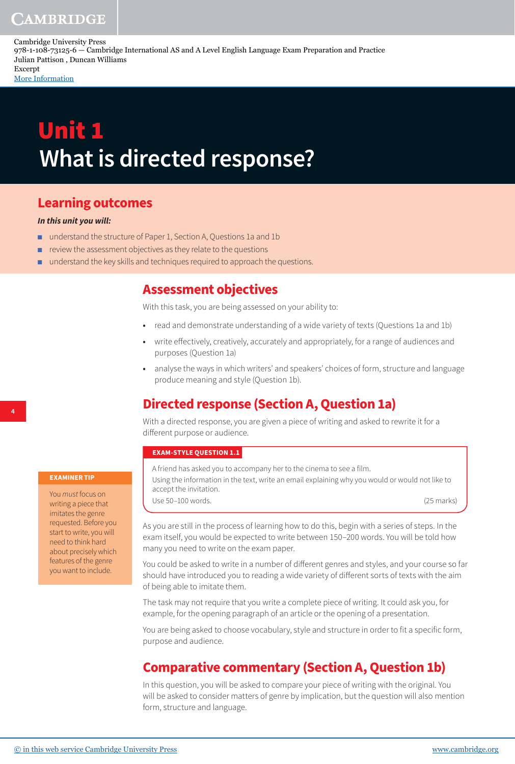Cambridge University Press 978-1-108-73125-6 — Cambridge International AS and A Level English Language Exam Preparation and Practice Julian Pattison , Duncan Williams Excerpt

[More Information](www.cambridge.org/9781108731256)

# Unit 1 **What is directed response?**

# **Learning outcomes**

## **In this unit you will:**

- understand the structure of Paper 1, Section A, Questions 1a and 1b
- review the assessment objectives as they relate to the questions
- understand the key skills and techniques required to approach the questions.

# **Assessment objectives**

With this task, you are being assessed on your ability to:

- **•** read and demonstrate understanding of a wide variety of texts (Questions 1a and 1b)
- **•** write effectively, creatively, accurately and appropriately, for a range of audiences and purposes (Question 1a)
- **•** analyse the ways in which writers' and speakers' choices of form, structure and language produce meaning and style (Question 1b).

# **Directed response (Section A, Question 1a)**

With a directed response, you are given a piece of writing and asked to rewrite it for a different purpose or audience.

### **EXAM-STYLE QUESTION 1.1**

A friend has asked you to accompany her to the cinema to see a film.

Using the information in the text, write an email explaining why you would or would not like to accept the invitation.

Use 50–100 words. (25 marks)

As you are still in the process of learning how to do this, begin with a series of steps. In the exam itself, you would be expected to write between 150–200 words. You will be told how many you need to write on the exam paper.

You could be asked to write in a number of different genres and styles, and your course so far should have introduced you to reading a wide variety of different sorts of texts with the aim of being able to imitate them.

The task may not require that you write a complete piece of writing. It could ask you, for example, for the opening paragraph of an article or the opening of a presentation.

You are being asked to choose vocabulary, style and structure in order to fit a specific form, purpose and audience.

# **Comparative commentary (Section A, Question 1b)**

In this question, you will be asked to compare your piece of writing with the original. You will be asked to consider matters of genre by implication, but the question will also mention form, structure and language.

**4**

### **EXAMINER TIP**

You must focus on writing a piece that imitates the genre requested. Before you start to write, you will need to think hard about precisely which features of the genre you want to include.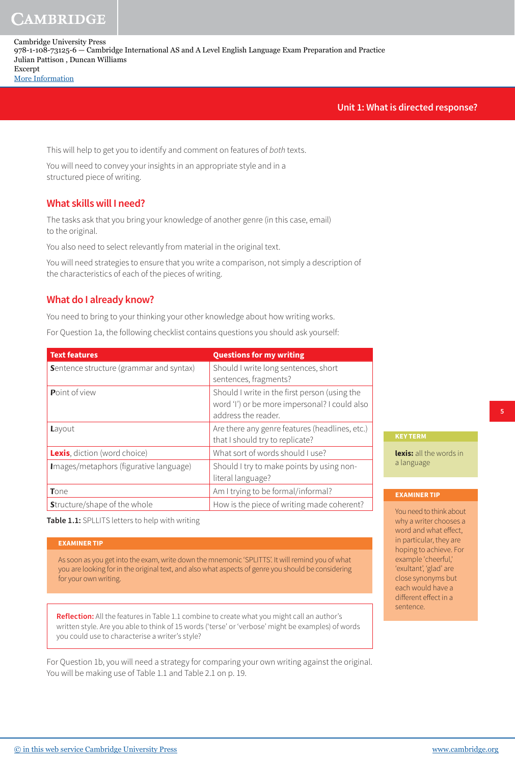Cambridge University Press 978-1-108-73125-6 — Cambridge International AS and A Level English Language Exam Preparation and Practice Julian Pattison , Duncan Williams Excerpt [More Information](www.cambridge.org/9781108731256)

**Unit 1: What is directed response?**

This will help to get you to identify and comment on features of both texts.

You will need to convey your insights in an appropriate style and in a structured piece of writing.

## **What skills will I need?**

The tasks ask that you bring your knowledge of another genre (in this case, email) to the original.

You also need to select relevantly from material in the original text.

You will need strategies to ensure that you write a comparison, not simply a description of the characteristics of each of the pieces of writing.

## **What do I already know?**

You need to bring to your thinking your other knowledge about how writing works.

For Question 1a, the following checklist contains questions you should ask yourself:

| <b>Text features</b>                           | <b>Questions for my writing</b>                                                                                       |
|------------------------------------------------|-----------------------------------------------------------------------------------------------------------------------|
| <b>Sentence structure (grammar and syntax)</b> | Should I write long sentences, short<br>sentences, fragments?                                                         |
| Point of view                                  | Should I write in the first person (using the<br>word 'I') or be more impersonal? I could also<br>address the reader. |
| Layout                                         | Are there any genre features (headlines, etc.)<br>that I should try to replicate?                                     |
| <b>Lexis</b> , diction (word choice)           | What sort of words should Luse?                                                                                       |
| Images/metaphors (figurative language)         | Should I try to make points by using non-<br>literal language?                                                        |
| <b>T</b> one                                   | Am I trying to be formal/informal?                                                                                    |
| <b>Structure/shape of the whole</b>            | How is the piece of writing made coherent?                                                                            |

**Table 1.1:** SPLLITS letters to help with writing

#### **EXAMINER TIP**

As soon as you get into the exam, write down the mnemonic 'SPLITTS'. It will remind you of what you are looking for in the original text, and also what aspects of genre you should be considering for your own writing.

**Reflection:** All the features in Table 1.1 combine to create what you might call an author's written style. Are you able to think of 15 words ('terse' or 'verbose' might be examples) of words you could use to characterise a writer's style?

For Question 1b, you will need a strategy for comparing your own writing against the original. You will be making use of Table 1.1 and Table 2.1 on p. 19.

#### **KEY TERM**

**lexis:** all the words in a language

#### **EXAMINER TIP**

You need to think about why a writer chooses a word and what effect, in particular, they are hoping to achieve. For example 'cheerful,' 'exultant', 'glad' are close synonyms but each would have a different effect in a sentence.